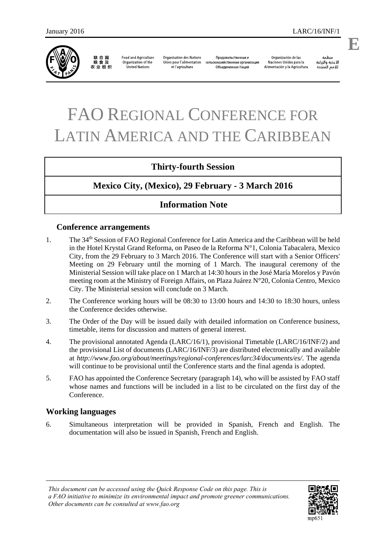

联合国<br>粮食及 农业组织

**Food and Agriculture** Organization of the **United Nations** 

**Organisation des Nations** Unies pour l'alimentation et l'agriculture

Продовольственная и сельскохозяйственная организация Объединенных Наций

Organización de las Naciones Unidas para la Alimentación y la Agricultura

ونظوة الأغذية والزراعة للأمم المتحدة

# FAO REGIONAL CONFERENCE FOR LATIN AMERICA AND THE CARIBBEAN

# **Thirty-fourth Session**

# **Mexico City, (Mexico), 29 February - 3 March 2016**

# **Information Note**

#### **Conference arrangements**

- 1. The 34th Session of FAO Regional Conference for Latin America and the Caribbean will be held in the Hotel Krystal Grand Reforma, on Paseo de la Reforma N°1, Colonia Tabacalera, Mexico City, from the 29 February to 3 March 2016. The Conference will start with a Senior Officers' Meeting on 29 February until the morning of 1 March. The inaugural ceremony of the Ministerial Session will take place on 1 March at 14:30 hours in the José María Morelos y Pavón meeting room at the Ministry of Foreign Affairs, on Plaza Juárez N°20, Colonia Centro, Mexico City. The Ministerial session will conclude on 3 March.
- 2. The Conference working hours will be 08:30 to 13:00 hours and 14:30 to 18:30 hours, unless the Conference decides otherwise.
- 3. The Order of the Day will be issued daily with detailed information on Conference business, timetable, items for discussion and matters of general interest.
- 4. The provisional annotated Agenda (LARC/16/1), provisional Timetable (LARC/16/INF/2) and the provisional List of documents (LARC/16/INF/3) are distributed electronically and available at *http://www.fao.org/about/meetings/regional-conferences/larc34/documents/es/*. The agenda will continue to be provisional until the Conference starts and the final agenda is adopted.
- 5. FAO has appointed the Conference Secretary (paragraph 14), who will be assisted by FAO staff whose names and functions will be included in a list to be circulated on the first day of the Conference.

#### **Working languages**

6. Simultaneous interpretation will be provided in Spanish, French and English. The documentation will also be issued in Spanish, French and English.



**E**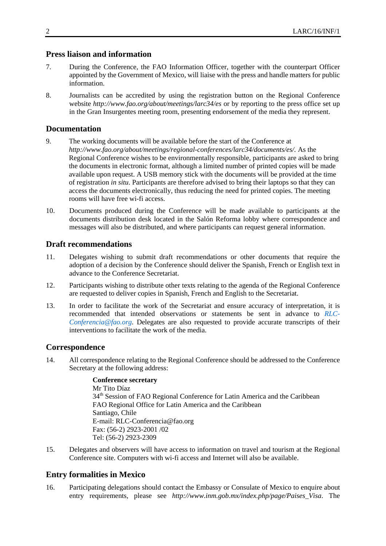#### **Press liaison and information**

- 7. During the Conference, the FAO Information Officer, together with the counterpart Officer appointed by the Government of Mexico, will liaise with the press and handle matters for public information.
- 8. Journalists can be accredited by using the registration button on the Regional Conference website *http://www.fao.org/about/meetings/larc34/es* or by reporting to the press office set up in the Gran Insurgentes meeting room, presenting endorsement of the media they represent.

#### **Documentation**

- 9. The working documents will be available before the start of the Conference at *http://www.fao.org/about/meetings/regional-conferences/larc34/documents/es/.* As the Regional Conference wishes to be environmentally responsible, participants are asked to bring the documents in electronic format, although a limited number of printed copies will be made available upon request. A USB memory stick with the documents will be provided at the time of registration *in situ*. Participants are therefore advised to bring their laptops so that they can access the documents electronically, thus reducing the need for printed copies. The meeting rooms will have free wi-fi access.
- 10. Documents produced during the Conference will be made available to participants at the documents distribution desk located in the Salón Reforma lobby where correspondence and messages will also be distributed, and where participants can request general information.

#### **Draft recommendations**

- 11. Delegates wishing to submit draft recommendations or other documents that require the adoption of a decision by the Conference should deliver the Spanish, French or English text in advance to the Conference Secretariat.
- 12. Participants wishing to distribute other texts relating to the agenda of the Regional Conference are requested to deliver copies in Spanish, French and English to the Secretariat.
- 13. In order to facilitate the work of the Secretariat and ensure accuracy of interpretation, it is recommended that intended observations or statements be sent in advance to *RLC-Conferencia@fao.org.* Delegates are also requested to provide accurate transcripts of their interventions to facilitate the work of the media.

#### **Correspondence**

14. All correspondence relating to the Regional Conference should be addressed to the Conference Secretary at the following address:

#### **Conference secretary**

Mr Tito Díaz 34<sup>th</sup> Session of FAO Regional Conference for Latin America and the Caribbean FAO Regional Office for Latin America and the Caribbean Santiago, Chile E-mail: RLC-Conferencia@fao.org Fax: (56-2) 2923-2001 /02 Tel: (56-2) 2923-2309

15. Delegates and observers will have access to information on travel and tourism at the Regional Conference site. Computers with wi-fi access and Internet will also be available.

# **Entry formalities in Mexico**

16. Participating delegations should contact the Embassy or Consulate of Mexico to enquire about entry requirements, please see *http://www.inm.gob.mx/index.php/page/Paises\_Visa*. The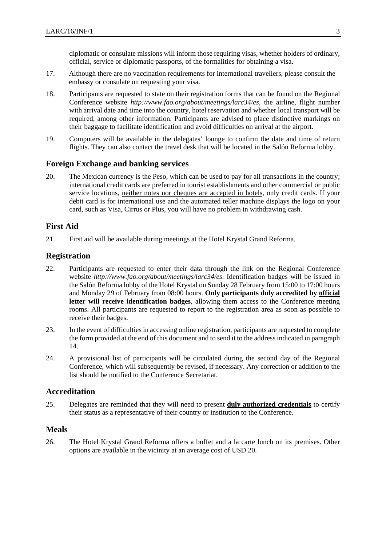diplomatic or consulate missions will inform those requiring visas, whether holders of ordinary, official, service or diplomatic passports, of the formalities for obtaining a visa.

- 17. Although there are no vaccination requirements for international travellers, please consult the embassy or consulate on requesting your visa.
- 18. Participants are requested to state on their registration forms that can be found on the Regional Conference website *http://www.fao.org/about/meetings/larc34/es,* the airline, flight number with arrival date and time into the country, hotel reservation and whether local transport will be required, among other information. Participants are advised to place distinctive markings on their baggage to facilitate identification and avoid difficulties on arrival at the airport.
- 19. Computers will be available in the delegates' lounge to confirm the date and time of return flights. They can also contact the travel desk that will be located in the Salón Reforma lobby.

#### **Foreign Exchange and banking services**

20. The Mexican currency is the Peso, which can be used to pay for all transactions in the country; international credit cards are preferred in tourist establishments and other commercial or public service locations, neither notes nor cheques are accepted in hotels, only credit cards. If your debit card is for international use and the automated teller machine displays the logo on your card, such as Visa, Cirrus or Plus, you will have no problem in withdrawing cash.

#### **First Aid**

21. First aid will be available during meetings at the Hotel Krystal Grand Reforma.

#### **Registration**

- 22. Participants are requested to enter their data through the link on the Regional Conference website *http://www.fao.org/about/meetings/larc34/es*. Identification badges will be issued in the Salón Reforma lobby of the Hotel Krystal on Sunday 28 February from 15:00 to 17:00 hours and Monday 29 of February from 08:00 hours. **Only participants duly accredited by official letter will receive identification badges**, allowing them access to the Conference meeting rooms. All participants are requested to report to the registration area as soon as possible to receive their badges.
- 23. In the event of difficulties in accessing online registration, participants are requested to complete the form provided at the end of this document and to send it to the address indicated in paragraph 14.
- 24. A provisional list of participants will be circulated during the second day of the Regional Conference, which will subsequently be revised, if necessary. Any correction or addition to the list should be notified to the Conference Secretariat.

#### **Accreditation**

25. Delegates are reminded that they will need to present **duly authorized credentials** to certify their status as a representative of their country or institution to the Conference.

#### **Meals**

26. The Hotel Krystal Grand Reforma offers a buffet and a la carte lunch on its premises. Other options are available in the vicinity at an average cost of USD 20.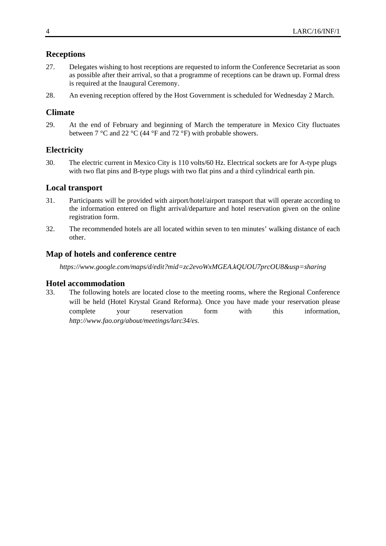### **Receptions**

- 27. Delegates wishing to host receptions are requested to inform the Conference Secretariat as soon as possible after their arrival, so that a programme of receptions can be drawn up. Formal dress is required at the Inaugural Ceremony.
- 28. An evening reception offered by the Host Government is scheduled for Wednesday 2 March.

# **Climate**

29. At the end of February and beginning of March the temperature in Mexico City fluctuates between 7 °C and 22 °C (44 °F and 72 °F) with probable showers.

# **Electricity**

30. The electric current in Mexico City is 110 volts/60 Hz. Electrical sockets are for A-type plugs with two flat pins and B-type plugs with two flat pins and a third cylindrical earth pin.

#### **Local transport**

- 31. Participants will be provided with airport/hotel/airport transport that will operate according to the information entered on flight arrival/departure and hotel reservation given on the online registration form.
- 32. The recommended hotels are all located within seven to ten minutes' walking distance of each other.

#### **Map of hotels and conference centre**

*https://www.google.com/maps/d/edit?mid=zc2evoWxMGEA.kQUOU7prcOU8&usp=sharing* 

#### **Hotel accommodation**

33. The following hotels are located close to the meeting rooms, where the Regional Conference will be held (Hotel Krystal Grand Reforma). Once you have made your reservation please complete your reservation form with this information, *http://www.fao.org/about/meetings/larc34/es*.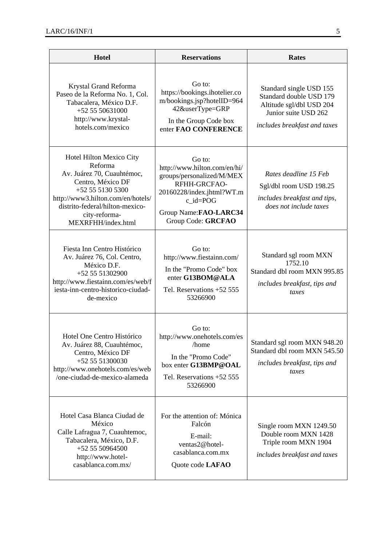| <b>Hotel</b>                                                                                                                                                                                                              | <b>Reservations</b>                                                                                                                                                              | <b>Rates</b>                                                                                                                           |
|---------------------------------------------------------------------------------------------------------------------------------------------------------------------------------------------------------------------------|----------------------------------------------------------------------------------------------------------------------------------------------------------------------------------|----------------------------------------------------------------------------------------------------------------------------------------|
| Krystal Grand Reforma<br>Paseo de la Reforma No. 1, Col.<br>Tabacalera, México D.F.<br>$+525550631000$<br>http://www.krystal-<br>hotels.com/mexico                                                                        | Go to:<br>https://bookings.ihotelier.co<br>m/bookings.jsp?hotelID=964<br>42&userType=GRP<br>In the Group Code box<br>enter FAO CONFERENCE                                        | Standard single USD 155<br>Standard double USD 179<br>Altitude sgl/dbl USD 204<br>Junior suite USD 262<br>includes breakfast and taxes |
| Hotel Hilton Mexico City<br>Reforma<br>Av. Juárez 70, Cuauhtémoc,<br>Centro, México DF<br>+52 55 5130 5300<br>http://www3.hilton.com/en/hotels/<br>distrito-federal/hilton-mexico-<br>city-reforma-<br>MEXRFHH/index.html | Go to:<br>http://www.hilton.com/en/hi/<br>groups/personalized/M/MEX<br>RFHH-GRCFAO-<br>20160228/index.jhtml?WT.m<br>$c_id = POG$<br>Group Name: FAO-LARC34<br>Group Code: GRCFAO | Rates deadline 15 Feb<br>Sgl/dbl room USD 198.25<br>includes breakfast and tips,<br>does not include taxes                             |
| Fiesta Inn Centro Histórico<br>Av. Juárez 76, Col. Centro,<br>México D.F.<br>+52 55 51302900<br>http://www.fiestainn.com/es/web/f<br>iesta-inn-centro-historico-ciudad-<br>de-mexico                                      | Go to:<br>http://www.fiestainn.com/<br>In the "Promo Code" box<br>enter G13BOM@ALA<br>Tel. Reservations +52 555<br>53266900                                                      | Standard sgl room MXN<br>1752.10<br>Standard dbl room MXN 995.85<br>includes breakfast, tips and<br>taxes                              |
| Hotel One Centro Histórico<br>Av. Juárez 88, Cuauhtémoc,<br>Centro, México DF<br>+52 55 51300030<br>http://www.onehotels.com/es/web<br>/one-ciudad-de-mexico-alameda                                                      | Go to:<br>http://www.onehotels.com/es<br>/home<br>In the "Promo Code"<br>box enter G13BMP@OAL<br>Tel. Reservations +52 555<br>53266900                                           | Standard sgl room MXN 948.20<br>Standard dbl room MXN 545.50<br>includes breakfast, tips and<br>taxes                                  |
| Hotel Casa Blanca Ciudad de<br>México<br>Calle Lafragua 7, Cuauhtemoc,<br>Tabacalera, México, D.F.<br>+52 55 50964500<br>http://www.hotel-<br>casablanca.com.mx/                                                          | For the attention of: Mónica<br>Falcón<br>E-mail:<br>ventas2@hotel-<br>casablanca.com.mx<br>Quote code LAFAO                                                                     | Single room MXN 1249.50<br>Double room MXN 1428<br>Triple room MXN 1904<br>includes breakfast and taxes                                |